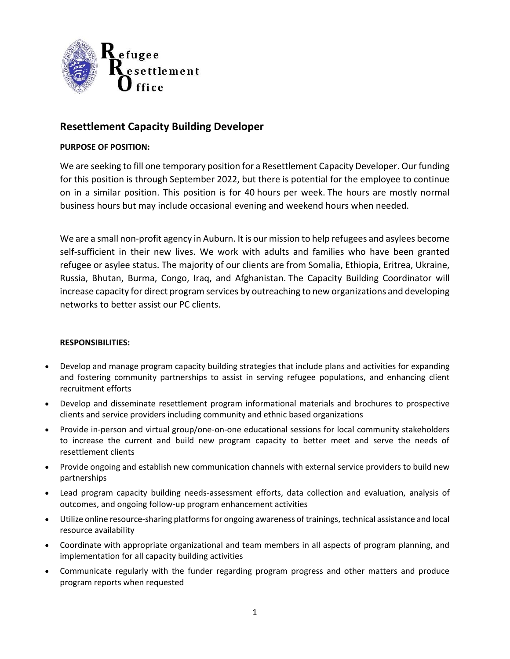

# **Resettlement Capacity Building Developer**

## **PURPOSE OF POSITION:**

We are seeking to fill one temporary position for a Resettlement Capacity Developer. Our funding for this position is through September 2022, but there is potential for the employee to continue on in a similar position. This position is for 40 hours per week. The hours are mostly normal business hours but may include occasional evening and weekend hours when needed.

We are a small non-profit agency in Auburn. It is our mission to help refugees and asylees become self-sufficient in their new lives. We work with adults and families who have been granted refugee or asylee status. The majority of our clients are from Somalia, Ethiopia, Eritrea, Ukraine, Russia, Bhutan, Burma, Congo, Iraq, and Afghanistan. The Capacity Building Coordinator will increase capacity for direct program services by outreaching to new organizations and developing networks to better assist our PC clients.

### **RESPONSIBILITIES:**

- Develop and manage program capacity building strategies that include plans and activities for expanding and fostering community partnerships to assist in serving refugee populations, and enhancing client recruitment efforts
- Develop and disseminate resettlement program informational materials and brochures to prospective clients and service providers including community and ethnic based organizations
- Provide in-person and virtual group/one-on-one educational sessions for local community stakeholders to increase the current and build new program capacity to better meet and serve the needs of resettlement clients
- Provide ongoing and establish new communication channels with external service providers to build new partnerships
- Lead program capacity building needs-assessment efforts, data collection and evaluation, analysis of outcomes, and ongoing follow-up program enhancement activities
- Utilize online resource-sharing platforms for ongoing awareness of trainings, technical assistance and local resource availability
- Coordinate with appropriate organizational and team members in all aspects of program planning, and implementation for all capacity building activities
- Communicate regularly with the funder regarding program progress and other matters and produce program reports when requested